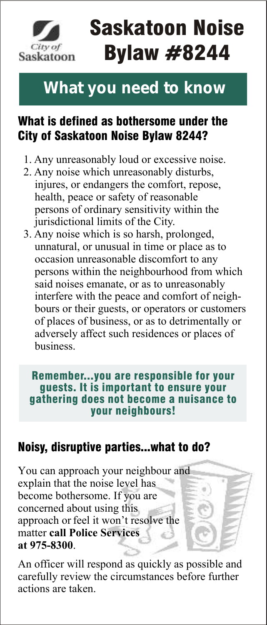

# Saskatoon Noise Bylaw #8244

### **What you need to know**

#### What is defined as bothersome under the City of Saskatoon Noise Bylaw 8244?

- 1. Any unreasonably loud or excessive noise.
- 2. Any noise which unreasonably disturbs, injures, or endangers the comfort, repose, health, peace or safety of reasonable persons of ordinary sensitivity within the jurisdictional limits of the City.
- 3. Any noise which is so harsh, prolonged, unnatural, or unusual in time or place as to occasion unreasonable discomfort to any persons within the neighbourhood from which said noises emanate, or as to unreasonably interfere with the peace and comfort of neigh bours or their guests, or operators or customers of places of business, or as to detrimentally or adversely affect such residences or places of business.

Remember...you are responsible for your guests. It is important to ensure your gathering does not become a nuisance to your neighbours!

#### Noisy, disruptive parties...what to do?

You can approach your neighbour and explain that the noise level has become bothersome. If you are concerned about using this approach or feel it won't resolve the matter **call Police Services at 975-8300**.

An officer will respond as quickly as possible and carefully review the circumstances before further actions are taken.